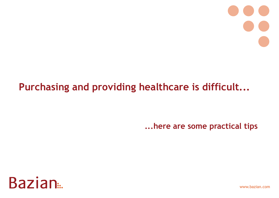## **Purchasing and providing healthcare is difficult...**

**...here are some practical tips**



www.bazian.com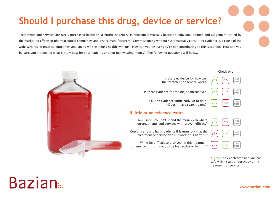### **Should I purchase this drug, device or service?**

Treatments and services are rarely purchased based on scientific evidence. Purchasing is typically based on individual opinion and judgement, or led by the marketing efforts of pharmaceutical companies and device manufacturers. Commissioning without systematically consulting evidence is a cause of the wide variance in practice, outcomes and spend we see across health systems. How can you be sure you're not contributing to this situation? How can you be sure you are buying what is truly best for your patients and not just wasting money? The following questions will help...



A green box each time and you can safely think about purchasing the treatment or service

# Bazian<sub>ia</sub>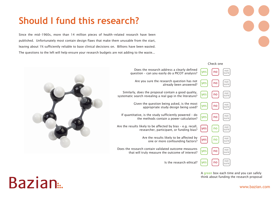#### **Should I fund this research?**

Since the mid-1960s, more than 14 million pieces of health-related research have been published. Unfortunately most contain design flaws that make them unusable from the start, leaving about 1% sufficiently reliable to base clinical decisions on. Billions have been wasted. The questions to the left will help ensure your research budgets are not adding to the waste...



A green box each time and you can safely think about funding the research proposal



www.bazian.com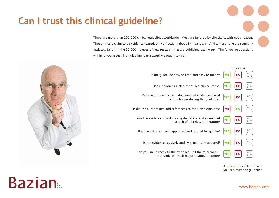#### **Can I trust this clinical guideline?**

There are more than 200,000 clinical guidelines worldwide. Most are ignored by clinicians, with good reason. Though many claim to be evidence-based, only a fraction (about 1%) really are. And almost none are regularly updated, ignoring the 20,000+ pieces of new research that are published each week. The following questions will help you assess if a quideline is trustworthy enough to use...



**Bazian**